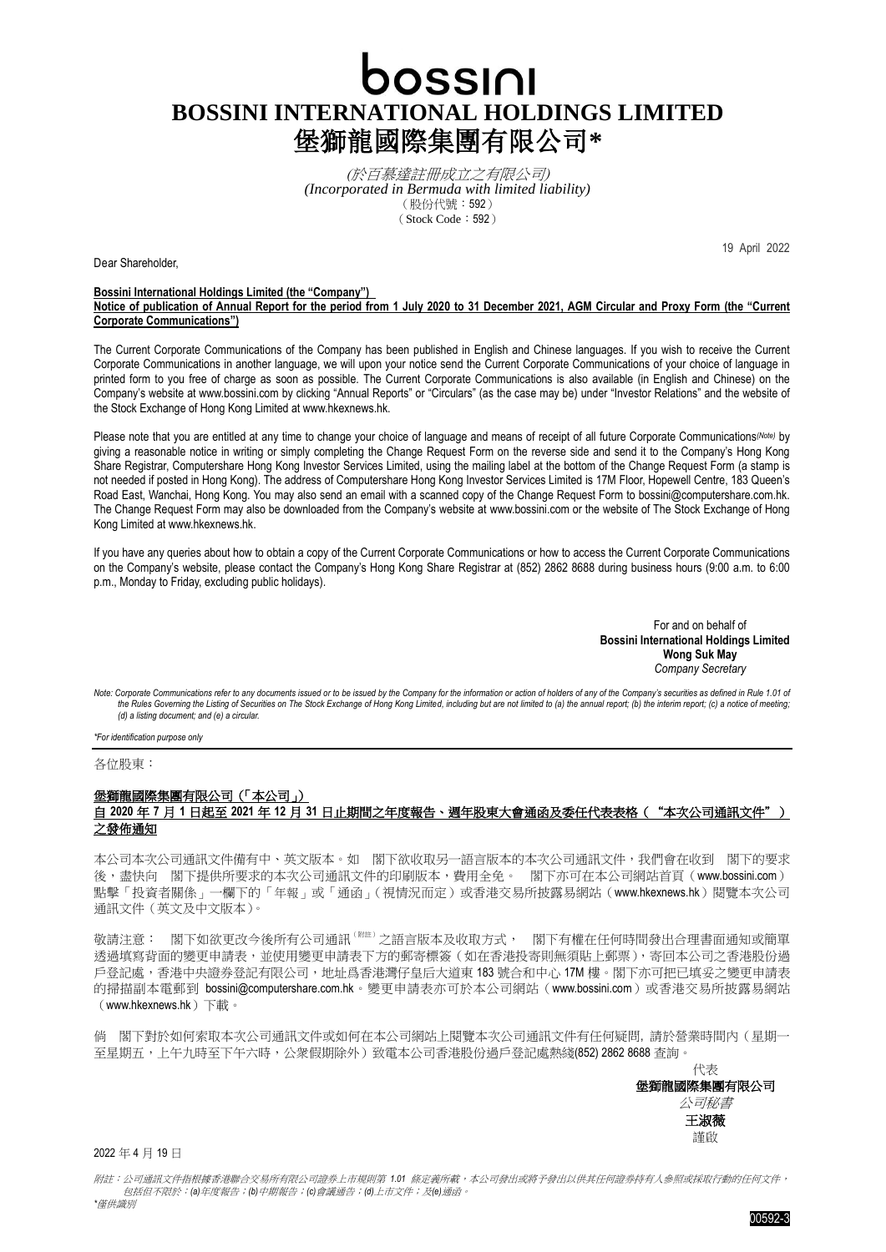# **OSSINI BOSSINI INTERNATIONAL HOLDINGS LIMITED** 堡獅龍國際集團有限公司**\***

(於百慕達註冊成立之有限公司) *(Incorporated in Bermuda with limited liability)* (股份代號:592)  $(Stock Code : 592)$ 

Dear Shareholder,

19 April 2022

## **Bossini International Holdings Limited (the "Company")**

### **Notice of publication of Annual Report for the period from 1 July 2020 to 31 December 2021, AGM Circular and Proxy Form (the "Current Corporate Communications")**

The Current Corporate Communications of the Company has been published in English and Chinese languages. If you wish to receive the Current Corporate Communications in another language, we will upon your notice send the Current Corporate Communications of your choice of language in printed form to you free of charge as soon as possible. The Current Corporate Communications is also available (in English and Chinese) on the Company's website at [www.bossini.com](http://www.bossini.com/) by clicking "Annual Reports" or "Circulars" (as the case may be) under "Investor Relations" and the website of the Stock Exchange of Hong Kong Limited a[t www.hkexnews.hk.](http://www.hkexnews.hk/)

Please note that you are entitled at any time to change your choice of language and means of receipt of all future Corporate Communications *(Note)* by giving a reasonable notice in writing or simply completing the Change Request Form on the reverse side and send it to the Company's Hong Kong Share Registrar, Computershare Hong Kong Investor Services Limited, using the mailing label at the bottom of the Change Request Form (a stamp is not needed if posted in Hong Kong). The address of Computershare Hong Kong Investor Services Limited is 17M Floor, Hopewell Centre, 183 Queen's Road East, Wanchai, Hong Kong. You may also send an email with a scanned copy of the Change Request Form to [bossini@computershare.com.hk.](mailto:bossini@computershare.com.hk) The Change Request Form may also be downloaded from the Company's website at www.bossini.com or the website of The Stock Exchange of Hong Kong Limited a[t www.hkexnews.hk.](http://www.hkexnews.hk/)

If you have any queries about how to obtain a copy of the Current Corporate Communications or how to access the Current Corporate Communications on the Company's website, please contact the Company's Hong Kong Share Registrar at (852) 2862 8688 during business hours (9:00 a.m. to 6:00 p.m., Monday to Friday, excluding public holidays).

> For and on behalf of **Bossini International Holdings Limited Wong Suk May** *Company Secretary*

Note: Corporate Communications refer to any documents issued or to be issued by the Company for the information or action of holders of any of the Company's securities as defined in Rule 1.01 of the Rules Governing the Listing of Securities on The Stock Exchange of Hong Kong Limited, including but are not limited to (a) the annual report; (b) the interim report; (c) a notice of meeting; *(d) a listing document; and (e) a circular.*

*\*For identification purpose only*

各位股東:

#### 堡獅龍國際集團有限公司(「本公司」)

### 自 **2020** 年 **7** 月 **1** 日起至 **2021** 年 **12** 月 **31** 日止期間之年度報告、週年股東大會通函及委任代表表格("本次公司通訊文件") 之發佈通知

本公司本次公司通訊文件備有中、英文版本。如 閣下欲收取另一語言版本的本次公司通訊文件,我們會在收到 閣下的要求 後,盡快向 閣下提供所要求的本次公司通訊文件的印刷版本,費用全免。 閣下亦可在本公司網站首頁 ([www.bossini.com](http://www.bossini.com/)) 點擊「投資者關係」一欄下的「年報」或「通函」(視情況而定)或香港交易所披露易網站 ([www.hkexnews.hk](http://www.hkexnews.hk/))閱覽本次公司 通訊文件(英文及中文版本)。

敬請注意: 閣下如欲更改今後所有公司通訊<sup>(附註)</sup>之語言版本及收取方式, 閣下有權在任何時間發出合理書面通知或簡單 透過填寫背面的變更申請表,並使用變更申請表下方的郵寄標簽(如在香港投寄則無須貼上郵票),寄回本公司之香港股份過 戶登記處,香港中央證券登記有限公司,地址爲香港灣仔皇后大道東 183 號合和中心 17M 樓。閣下亦可把已填妥之變更申請表 的掃描副本電郵到 [bossini@computershare.com.hk](mailto:bossini@computershare.com.hk)。變更申請表亦可於本公司網站([www.bossini.com](http://www.bossini.com/))或香港交易所披露易網站 ([www.hkexnews.hk](http://www.hkexnews.hk/))下載。

倘 閣下對於如何索取本次公司通訊文件或如何在本公司網站上閱覽本次公司通訊文件有任何疑問, 請於營業時間內(星期一 至星期五,上午九時至下午六時,公衆假期除外)致電本公司香港股份過戶登記處熱綫(852) 2862 8688 查詢。

> 代表 堡獅龍國際集團有限公司 公司秘書 王淑薇 謹啟

2022 年 4 月 19 日

附註:公司通訊文件指根據香港聯合交易所有限公司證券上市規則第 *1.01* 條定義所載,本公司發出或將予發出以供其任何證券持有人參照或採取行動的任何文件, 包括但不限於:*(a)*年度報告;*(b)*中期報告;*(c)*會議通告;*(d)*上市文件;及*(e)*通函。 *\**僅供識別